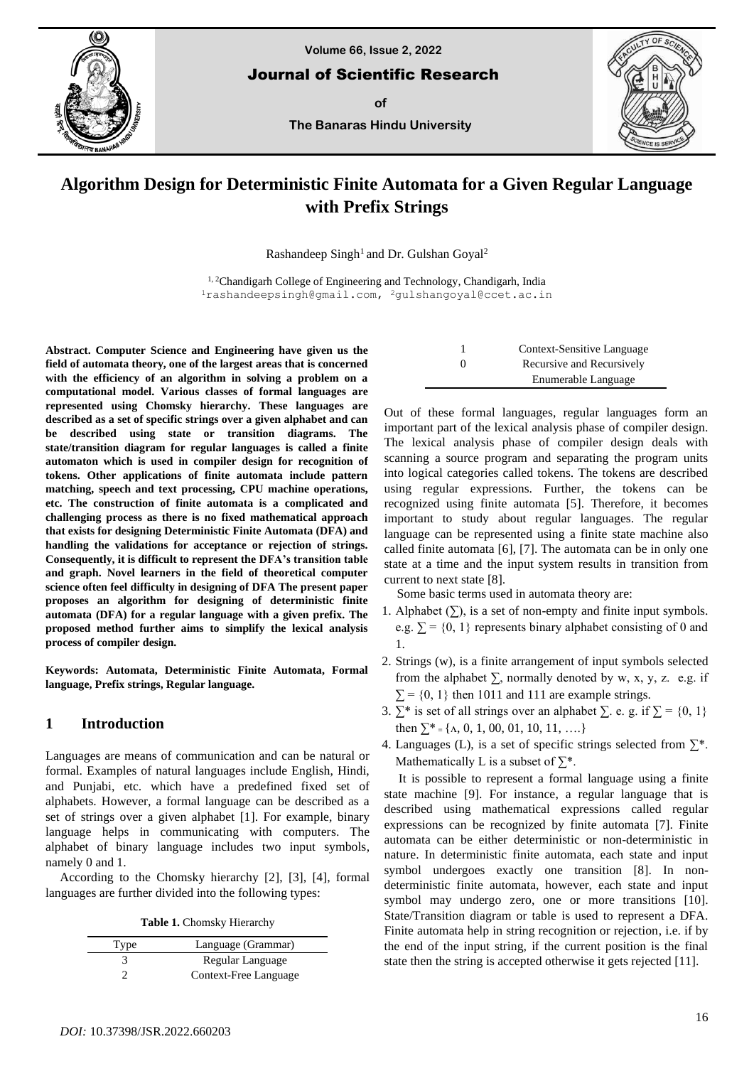

**Volume 66, Issue 2, 2022**

Journal of Scientific Research

**of**

**The Banaras Hindu University**



# **Algorithm Design for Deterministic Finite Automata for a Given Regular Language with Prefix Strings**

Rashandeep Singh<sup>1</sup> and Dr. Gulshan Goyal<sup>2</sup>

<sup>1, 2</sup>Chandigarh College of Engineering and Technology, Chandigarh, India <sup>1</sup>[rashandeepsingh@gmail.com,](mailto:rashandeepsingh@gmail.com) <sup>2</sup>[gulshangoyal@ccet.ac.in](mailto:2gulshangoyal@ccet.ac.in)

**Abstract. Computer Science and Engineering have given us the field of automata theory, one of the largest areas that is concerned with the efficiency of an algorithm in solving a problem on a computational model. Various classes of formal languages are represented using Chomsky hierarchy. These languages are described as a set of specific strings over a given alphabet and can be described using state or transition diagrams. The state/transition diagram for regular languages is called a finite automaton which is used in compiler design for recognition of tokens. Other applications of finite automata include pattern matching, speech and text processing, CPU machine operations, etc. The construction of finite automata is a complicated and challenging process as there is no fixed mathematical approach that exists for designing Deterministic Finite Automata (DFA) and handling the validations for acceptance or rejection of strings. Consequently, it is difficult to represent the DFA's transition table and graph. Novel learners in the field of theoretical computer science often feel difficulty in designing of DFA The present paper proposes an algorithm for designing of deterministic finite automata (DFA) for a regular language with a given prefix. The proposed method further aims to simplify the lexical analysis process of compiler design.**

**Keywords: Automata, Deterministic Finite Automata, Formal language, Prefix strings, Regular language.**

# **1 Introduction**

Languages are means of communication and can be natural or formal. Examples of natural languages include English, Hindi, and Punjabi, etc. which have a predefined fixed set of alphabets. However, a formal language can be described as a set of strings over a given alphabet [1]. For example, binary language helps in communicating with computers. The alphabet of binary language includes two input symbols, namely 0 and 1.

According to the Chomsky hierarchy [2], [3], [4], formal languages are further divided into the following types:

**Table 1.** Chomsky Hierarchy

| Type | Language (Grammar)    |
|------|-----------------------|
|      | Regular Language      |
|      | Context-Free Language |

|          | Context-Sensitive Language |
|----------|----------------------------|
| $\theta$ | Recursive and Recursively  |
|          | Enumerable Language        |

Out of these formal languages, regular languages form an important part of the lexical analysis phase of compiler design. The lexical analysis phase of compiler design deals with scanning a source program and separating the program units into logical categories called tokens. The tokens are described using regular expressions. Further, the tokens can be recognized using finite automata [5]. Therefore, it becomes important to study about regular languages. The regular language can be represented using a finite state machine also called finite automata [6], [7]. The automata can be in only one state at a time and the input system results in transition from current to next state [8].

Some basic terms used in automata theory are:

- 1. Alphabet  $(\Sigma)$ , is a set of non-empty and finite input symbols. e.g.  $\Sigma = \{0, 1\}$  represents binary alphabet consisting of 0 and 1.
- 2. Strings (w), is a finite arrangement of input symbols selected from the alphabet  $\Sigma$ , normally denoted by w, x, y, z. e.g. if  $\Sigma$  = {0, 1} then 1011 and 111 are example strings.
- 3. ∑\* is set of all strings over an alphabet  $\Sigma$ . e. g. if  $\Sigma = \{0, 1\}$ then  $\sum_{i=1}^{8}$  { $\Lambda$ , 0, 1, 00, 01, 10, 11, ....}
- 4. Languages (L), is a set of specific strings selected from  $\Sigma^*$ . Mathematically L is a subset of  $\Sigma^*$ .

It is possible to represent a formal language using a finite state machine [9]. For instance, a regular language that is described using mathematical expressions called regular expressions can be recognized by finite automata [7]. Finite automata can be either deterministic or non-deterministic in nature. In deterministic finite automata, each state and input symbol undergoes exactly one transition [8]. In nondeterministic finite automata, however, each state and input symbol may undergo zero, one or more transitions [10]. State/Transition diagram or table is used to represent a DFA. Finite automata help in string recognition or rejection, i.e. if by the end of the input string, if the current position is the final state then the string is accepted otherwise it gets rejected [11].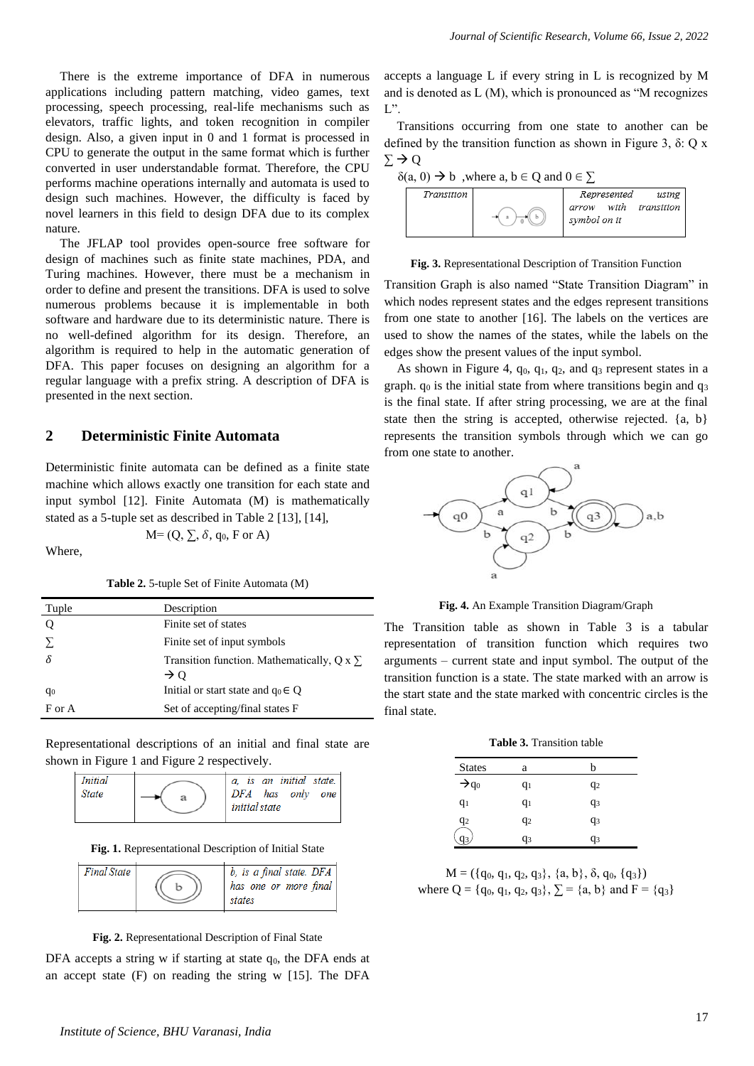There is the extreme importance of DFA in numerous applications including pattern matching, video games, text processing, speech processing, real-life mechanisms such as elevators, traffic lights, and token recognition in compiler design. Also, a given input in 0 and 1 format is processed in CPU to generate the output in the same format which is further converted in user understandable format. Therefore, the CPU performs machine operations internally and automata is used to design such machines. However, the difficulty is faced by novel learners in this field to design DFA due to its complex nature.

The JFLAP tool provides open-source free software for design of machines such as finite state machines, PDA, and Turing machines. However, there must be a mechanism in order to define and present the transitions. DFA is used to solve numerous problems because it is implementable in both software and hardware due to its deterministic nature. There is no well-defined algorithm for its design. Therefore, an algorithm is required to help in the automatic generation of DFA. This paper focuses on designing an algorithm for a regular language with a prefix string. A description of DFA is presented in the next section.

# **2 Deterministic Finite Automata**

Deterministic finite automata can be defined as a finite state machine which allows exactly one transition for each state and input symbol [12]. Finite Automata (M) is mathematically stated as a 5-tuple set as described in Table 2 [13], [14],

 $M=(Q, \sum, \delta, q_0, F \text{ or } A)$ 

Where,

**Table 2.** 5-tuple Set of Finite Automata (M)

| Tuple          | Description                                          |
|----------------|------------------------------------------------------|
|                | Finite set of states                                 |
| Σ              | Finite set of input symbols                          |
| ିନ             | Transition function. Mathematically, $Q \times \sum$ |
|                | $\rightarrow$ 0                                      |
| q <sub>0</sub> | Initial or start state and $q_0 \in Q$               |
| F or A         | Set of accepting/final states F                      |

Representational descriptions of an initial and final state are shown in Figure 1 and Figure 2 respectively.



**Fig. 1.** Representational Description of Initial State

| <b>Final State</b> |  | $b$ , is a final state. $DFA$<br>has one or more final<br>states |
|--------------------|--|------------------------------------------------------------------|
|--------------------|--|------------------------------------------------------------------|



DFA accepts a string w if starting at state  $q_0$ , the DFA ends at an accept state (F) on reading the string w [15]. The DFA

accepts a language L if every string in L is recognized by M and is denoted as L (M), which is pronounced as "M recognizes  $L$ ".

Transitions occurring from one state to another can be defined by the transition function as shown in Figure 3, δ: Q x  $\Sigma \rightarrow Q$ 



**Fig. 3.** Representational Description of Transition Function

Transition Graph is also named "State Transition Diagram" in which nodes represent states and the edges represent transitions from one state to another [16]. The labels on the vertices are used to show the names of the states, while the labels on the edges show the present values of the input symbol.

As shown in Figure 4,  $q_0$ ,  $q_1$ ,  $q_2$ , and  $q_3$  represent states in a graph.  $q_0$  is the initial state from where transitions begin and  $q_3$ is the final state. If after string processing, we are at the final state then the string is accepted, otherwise rejected. {a, b} represents the transition symbols through which we can go from one state to another.



**Fig. 4.** An Example Transition Diagram/Graph

The Transition table as shown in Table 3 is a tabular representation of transition function which requires two arguments – current state and input symbol. The output of the transition function is a state. The state marked with an arrow is the start state and the state marked with concentric circles is the final state.

| <b>Table 3.</b> Transition table |  |
|----------------------------------|--|
|                                  |  |

| <b>States</b>     | a              | h              |
|-------------------|----------------|----------------|
| $\rightarrow q_0$ | $q_1$          | $q_2$          |
| $q_1$             | $q_1$          | q <sub>3</sub> |
| $\frac{q_2}{q_1}$ | q <sub>2</sub> | q3             |
| q3                | q3             | q <sub>3</sub> |

 $M = (\{q_0, q_1, q_2, q_3\}, \{a, b\}, \delta, q_0, \{q_3\})$ where  $Q = \{q_0, q_1, q_2, q_3\}, \sum = \{a, b\}$  and  $F = \{q_3\}$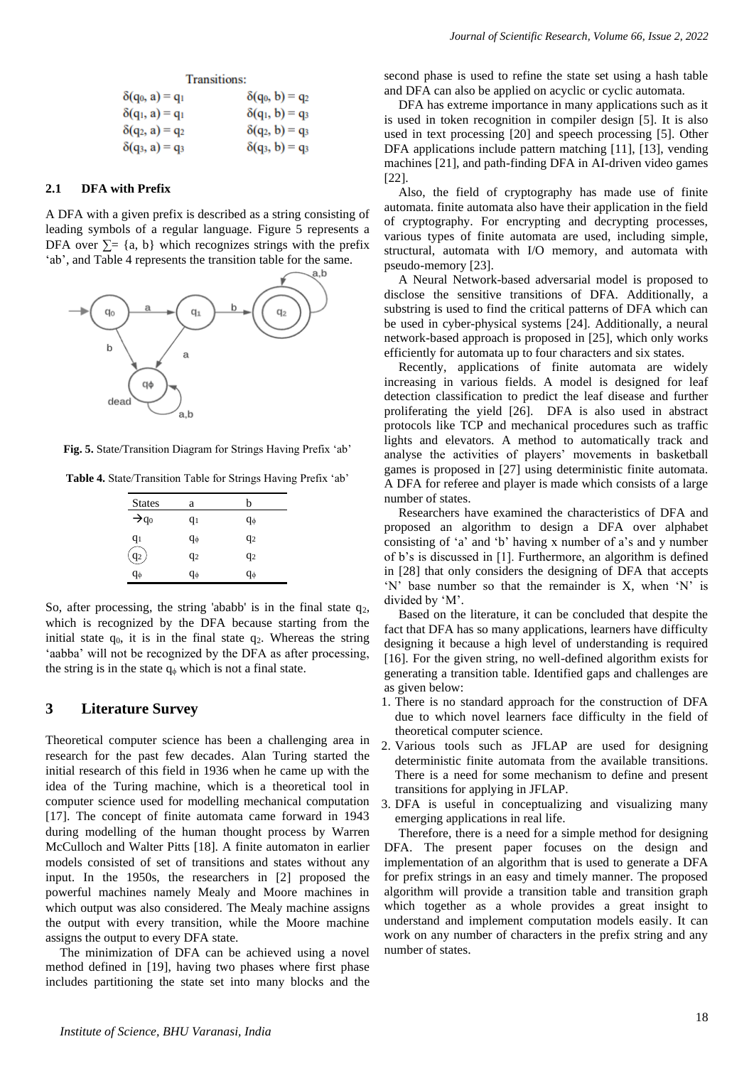#### **Transitions:**

| $\delta(q_0, a) = q_1$ | $\delta(q_0, b) = q_2$ |
|------------------------|------------------------|
| $\delta(q_1, a) = q_1$ | $\delta(q_1, b) = q_3$ |
| $\delta(q_2, a) = q_2$ | $\delta(q_2, b) = q_3$ |
| $\delta(q_3, a) = q_3$ | $\delta(q_3, b) = q_3$ |

## **2.1 DFA with Prefix**

A DFA with a given prefix is described as a string consisting of leading symbols of a regular language. Figure 5 represents a DFA over  $\Sigma$ = {a, b} which recognizes strings with the prefix 'ab', and Table 4 represents the transition table for the same.



**Fig. 5.** State/Transition Diagram for Strings Having Prefix 'ab'

**Table 4.** State/Transition Table for Strings Having Prefix 'ab'

| <b>States</b>     | a  | h              |
|-------------------|----|----------------|
| $\rightarrow q_0$ | q1 | qφ             |
| $q_1$             | qφ | q <sub>2</sub> |
| q2                | q2 | q2             |
| qφ                | qφ | qφ             |

So, after processing, the string 'ababb' is in the final state  $q_2$ , which is recognized by the DFA because starting from the initial state  $q_0$ , it is in the final state  $q_2$ . Whereas the string 'aabba' will not be recognized by the DFA as after processing, the string is in the state  $q<sub>φ</sub>$  which is not a final state.

#### **3 Literature Survey**

Theoretical computer science has been a challenging area in research for the past few decades. Alan Turing started the initial research of this field in 1936 when he came up with the idea of the Turing machine, which is a theoretical tool in computer science used for modelling mechanical computation [17]. The concept of finite automata came forward in 1943 during modelling of the human thought process by Warren McCulloch and Walter Pitts [18]. A finite automaton in earlier models consisted of set of transitions and states without any input. In the 1950s, the researchers in [2] proposed the powerful machines namely Mealy and Moore machines in which output was also considered. The Mealy machine assigns the output with every transition, while the Moore machine assigns the output to every DFA state.

The minimization of DFA can be achieved using a novel method defined in [19], having two phases where first phase includes partitioning the state set into many blocks and the

second phase is used to refine the state set using a hash table and DFA can also be applied on acyclic or cyclic automata.

DFA has extreme importance in many applications such as it is used in token recognition in compiler design [5]. It is also used in text processing [20] and speech processing [5]. Other DFA applications include pattern matching [11], [13], vending machines [21], and path-finding DFA in AI-driven video games [22].

Also, the field of cryptography has made use of finite automata. finite automata also have their application in the field of cryptography. For encrypting and decrypting processes, various types of finite automata are used, including simple, structural, automata with I/O memory, and automata with pseudo-memory [23].

A Neural Network-based adversarial model is proposed to disclose the sensitive transitions of DFA. Additionally, a substring is used to find the critical patterns of DFA which can be used in cyber-physical systems [24]. Additionally, a neural network-based approach is proposed in [25], which only works efficiently for automata up to four characters and six states.

Recently, applications of finite automata are widely increasing in various fields. A model is designed for leaf detection classification to predict the leaf disease and further proliferating the yield [26]. DFA is also used in abstract protocols like TCP and mechanical procedures such as traffic lights and elevators. A method to automatically track and analyse the activities of players' movements in basketball games is proposed in [27] using deterministic finite automata. A DFA for referee and player is made which consists of a large number of states.

Researchers have examined the characteristics of DFA and proposed an algorithm to design a DFA over alphabet consisting of 'a' and 'b' having x number of a's and y number of b's is discussed in [1]. Furthermore, an algorithm is defined in [28] that only considers the designing of DFA that accepts 'N' base number so that the remainder is X, when 'N' is divided by 'M'.

Based on the literature, it can be concluded that despite the fact that DFA has so many applications, learners have difficulty designing it because a high level of understanding is required [16]. For the given string, no well-defined algorithm exists for generating a transition table. Identified gaps and challenges are as given below:

- 1. There is no standard approach for the construction of DFA due to which novel learners face difficulty in the field of theoretical computer science.
- 2. Various tools such as JFLAP are used for designing deterministic finite automata from the available transitions. There is a need for some mechanism to define and present transitions for applying in JFLAP.
- 3. DFA is useful in conceptualizing and visualizing many emerging applications in real life.

Therefore, there is a need for a simple method for designing DFA. The present paper focuses on the design and implementation of an algorithm that is used to generate a DFA for prefix strings in an easy and timely manner. The proposed algorithm will provide a transition table and transition graph which together as a whole provides a great insight to understand and implement computation models easily. It can work on any number of characters in the prefix string and any number of states.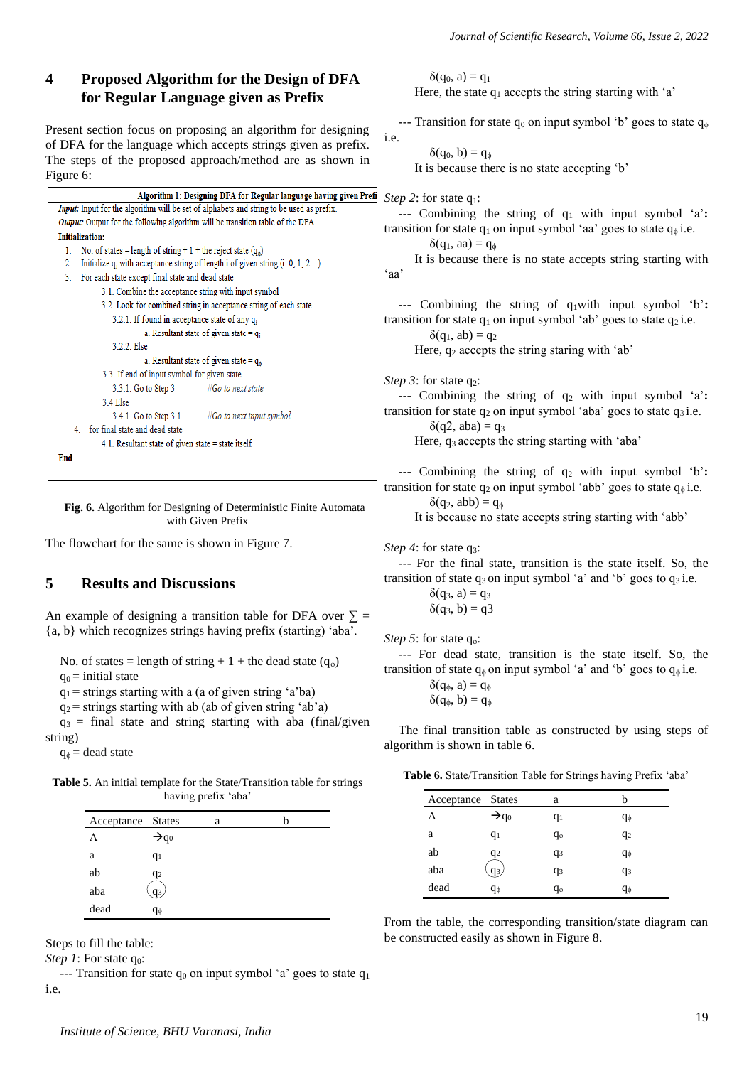# **4 Proposed Algorithm for the Design of DFA for Regular Language given as Prefix**

Present section focus on proposing an algorithm for designing of DFA for the language which accepts strings given as prefix. The steps of the proposed approach/method are as shown in Figure 6:

| Algorithm 1: Designing DFA for Regular language having given P                                  |  |  |  |
|-------------------------------------------------------------------------------------------------|--|--|--|
| <b>Input:</b> Input for the algorithm will be set of alphabets and string to be used as prefix. |  |  |  |
| <b>Output:</b> Output for the following algorithm will be transition table of the DFA.          |  |  |  |
| <b>Initialization:</b>                                                                          |  |  |  |
| No. of states = length of string + 1 + the reject state $(q_0)$<br>$1_{-}$                      |  |  |  |
| Initialize $q_i$ with acceptance string of length i of given string $(i=0, 1, 2)$<br>2.         |  |  |  |
| For each state except final state and dead state<br>3.                                          |  |  |  |
| 3.1. Combine the acceptance string with input symbol                                            |  |  |  |
| 3.2. Look for combined string in acceptance string of each state                                |  |  |  |
| 3.2.1. If found in acceptance state of any $q_i$                                                |  |  |  |
| a. Resultant state of given state = $q_i$                                                       |  |  |  |
| 3.2.2 Else                                                                                      |  |  |  |
| a. Resultant state of given state = $q_{\phi}$                                                  |  |  |  |
| 3.3. If end of input symbol for given state                                                     |  |  |  |
| 3.3.1. Go to Step 3 ///Go to next state                                                         |  |  |  |
| 34 Else                                                                                         |  |  |  |
| 3.4.1. Go to Step 3.1 //Go to next input symbol                                                 |  |  |  |
| 4. for final state and dead state                                                               |  |  |  |
| 4.1. Resultant state of given state $=$ state itself                                            |  |  |  |
| End                                                                                             |  |  |  |

**Fig. 6.** Algorithm for Designing of Deterministic Finite Automata with Given Prefix

The flowchart for the same is shown in Figure 7.

# **5 Results and Discussions**

An example of designing a transition table for DFA over  $\Sigma$  = {a, b} which recognizes strings having prefix (starting) 'aba'.

No. of states = length of string + 1 + the dead state  $(q_0)$  $q_0$  = initial state

 $q_1$  = strings starting with a (a of given string 'a'ba)

 $q_2$  = strings starting with ab (ab of given string 'ab'a)

 $q_3$  = final state and string starting with aba (final/given string)

 $q_{\phi}$  = dead state

**Table 5.** An initial template for the State/Transition table for strings having prefix 'aba'

| Acceptance States |                   | a | h |
|-------------------|-------------------|---|---|
| Λ                 | $\rightarrow q_0$ |   |   |
| a                 | $q_1$             |   |   |
| ab                | q2                |   |   |
| aba               | q3,               |   |   |
| dead              | qф                |   |   |

Steps to fill the table:

*Step 1*: For state q<sub>0</sub>:

--- Transition for state  $q_0$  on input symbol 'a' goes to state  $q_1$ i.e.

 $\delta(q_0, a) = q_1$ Here, the state  $q_1$  accepts the string starting with 'a'

--- Transition for state  $q_0$  on input symbol 'b' goes to state  $q_\phi$ i.e.

 $\delta(q_0, b) = q_{\phi}$ 

It is because there is no state accepting 'b'

**Prefi** *Step* 2: for state  $q_1$ :

--- Combining the string of q<sup>1</sup> with input symbol 'a'**:** transition for state  $q_1$  on input symbol 'aa' goes to state  $q_\phi$  i.e.

 $\delta(q_1, aa) = q_{\phi}$ 

 It is because there is no state accepts string starting with 'aa'

--- Combining the string of q1with input symbol 'b'**:** transition for state  $q_1$  on input symbol 'ab' goes to state  $q_2$  i.e.

 $\delta(q_1, ab) = q_2$ 

Here,  $q_2$  accepts the string staring with 'ab'

*Step 3*: for state q<sub>2</sub>:

--- Combining the string of q<sup>2</sup> with input symbol 'a'**:** transition for state  $q_2$  on input symbol 'aba' goes to state  $q_3$  i.e.

 $δ(a2, aba) = a<sub>3</sub>$ 

Here, q3 accepts the string starting with 'aba'

--- Combining the string of q<sup>2</sup> with input symbol 'b'**:** transition for state  $q_2$  on input symbol 'abb' goes to state  $q_{\phi}$  i.e.

 $\delta(q_2, abb) = q_{\phi}$ 

It is because no state accepts string starting with 'abb'

*Step 4*: for state q3:

--- For the final state, transition is the state itself. So, the transition of state  $q_3$  on input symbol 'a' and 'b' goes to  $q_3$  i.e.

> $\delta(q_3, a) = q_3$  $\delta(q_3, b) = q_3$

*Step 5*: for state q<sub>φ</sub>:

--- For dead state, transition is the state itself. So, the transition of state  $q_{\phi}$  on input symbol 'a' and 'b' goes to  $q_{\phi}$  i.e.

> $δ(q<sub>φ</sub>, a) = q<sub>φ</sub>$  $\delta(q_{\phi}, b) = q_{\phi}$

The final transition table as constructed by using steps of algorithm is shown in table 6.

**Table 6.** State/Transition Table for Strings having Prefix 'aba'

| Acceptance States |                   | a          |                |
|-------------------|-------------------|------------|----------------|
| Λ                 | $\rightarrow q_0$ | $q_1$      | $q_{\phi}$     |
| a                 | $q_1$             | $q_{\phi}$ | $q_2$          |
| ab                | q2                | $q_3$      | $q_{\phi}$     |
| aba               | q3.               | $q_3$      | q <sub>3</sub> |
| dead              | $q_{\phi}$        | $q_{\phi}$ | $q_{\phi}$     |

From the table, the corresponding transition/state diagram can be constructed easily as shown in Figure 8.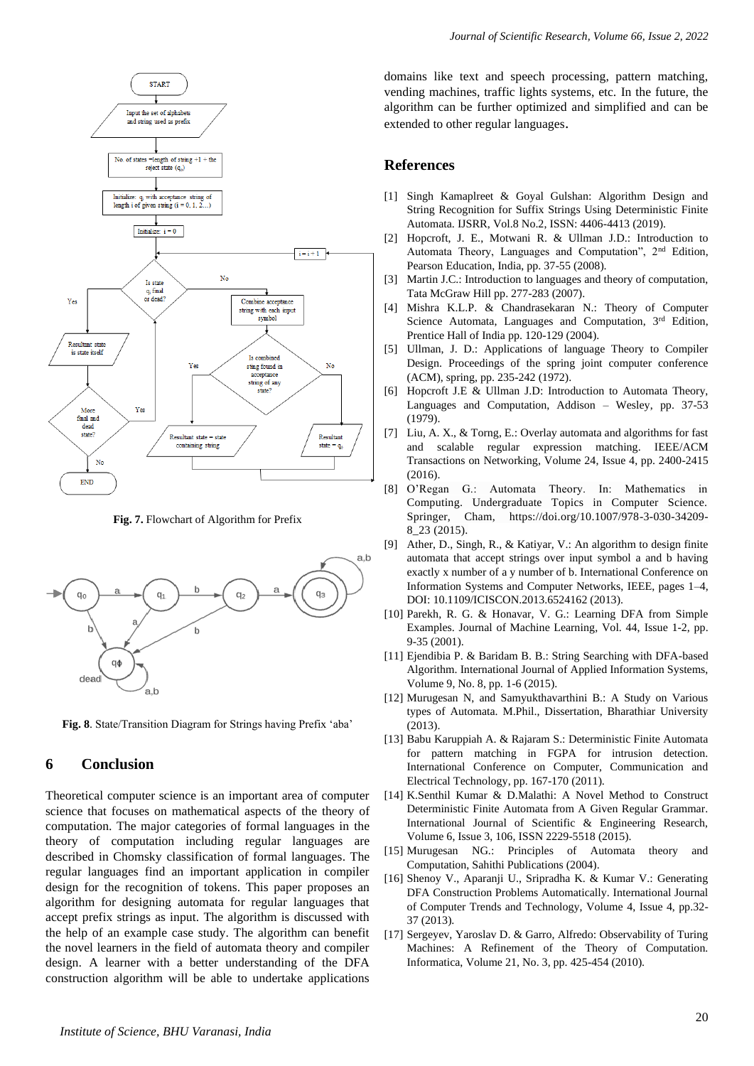

**Fig. 7.** Flowchart of Algorithm for Prefix



**Fig. 8**. State/Transition Diagram for Strings having Prefix 'aba'

# **6 Conclusion**

Theoretical computer science is an important area of computer science that focuses on mathematical aspects of the theory of computation. The major categories of formal languages in the theory of computation including regular languages are described in Chomsky classification of formal languages. The regular languages find an important application in compiler design for the recognition of tokens. This paper proposes an algorithm for designing automata for regular languages that accept prefix strings as input. The algorithm is discussed with the help of an example case study. The algorithm can benefit the novel learners in the field of automata theory and compiler design. A learner with a better understanding of the DFA construction algorithm will be able to undertake applications

domains like text and speech processing, pattern matching, vending machines, traffic lights systems, etc. In the future, the algorithm can be further optimized and simplified and can be extended to other regular languages.

## **References**

- [1] Singh Kamaplreet & Goyal Gulshan: Algorithm Design and String Recognition for Suffix Strings Using Deterministic Finite Automata. IJSRR, Vol.8 No.2, ISSN: 4406-4413 (2019).
- [2] Hopcroft, J. E., Motwani R. & Ullman J.D.: Introduction to Automata Theory, Languages and Computation", 2nd Edition, Pearson Education, India, pp. 37-55 (2008).
- [3] Martin J.C.: Introduction to languages and theory of computation, Tata McGraw Hill pp. 277-283 (2007).
- [4] Mishra K.L.P. & Chandrasekaran N.: Theory of Computer Science Automata, Languages and Computation, 3rd Edition, Prentice Hall of India pp. 120-129 (2004).
- [5] Ullman, J. D.: Applications of language Theory to Compiler Design. Proceedings of the spring joint computer conference (ACM), spring, pp. 235-242 (1972).
- [6] Hopcroft J.E & Ullman J.D: Introduction to Automata Theory, Languages and Computation, Addison – Wesley, pp. 37-53 (1979).
- [7] Liu, A. X., & Torng, E.: Overlay automata and algorithms for fast and scalable regular expression matching. IEEE/ACM Transactions on Networking, Volume 24, Issue 4, pp. 2400-2415 (2016).
- [8] O'Regan G.: Automata Theory. In: Mathematics in Computing. Undergraduate Topics in Computer Science. Springer, Cham, [https://doi.org/10.1007/978-3-030-34209-](https://doi.org/10.1007/978-3-030-34209-8_23) [8\\_23](https://doi.org/10.1007/978-3-030-34209-8_23) (2015).
- [9] Ather, D., Singh, R., & Katiyar, V.: An algorithm to design finite automata that accept strings over input symbol a and b having exactly x number of a y number of b. International Conference on Information Systems and Computer Networks, IEEE, pages 1–4, DOI: 10.1109/ICISCON.2013.6524162 (2013).
- [10] Parekh, R. G. & Honavar, V. G.: Learning DFA from Simple Examples. Journal of Machine Learning, Vol. 44, Issue 1-2, pp. 9-35 (2001).
- [11] Ejendibia P. & Baridam B. B.: String Searching with DFA-based Algorithm. International Journal of Applied Information Systems, Volume 9, No. 8, pp. 1-6 (2015).
- [12] Murugesan N, and Samyukthavarthini B.: A Study on Various types of Automata. M.Phil., Dissertation, Bharathiar University (2013).
- [13] Babu Karuppiah A. & Rajaram S.: Deterministic Finite Automata for pattern matching in FGPA for intrusion detection. International Conference on Computer, Communication and Electrical Technology, pp. 167-170 (2011).
- [14] K.Senthil Kumar & D.Malathi: A Novel Method to Construct Deterministic Finite Automata from A Given Regular Grammar. International Journal of Scientific & Engineering Research, Volume 6, Issue 3, 106, ISSN 2229-5518 (2015).
- [15] Murugesan NG.: Principles of Automata theory and Computation, Sahithi Publications (2004).
- [16] Shenoy V., Aparanji U., Sripradha K. & Kumar V.: Generating DFA Construction Problems Automatically. International Journal of Computer Trends and Technology, Volume 4, Issue 4, pp.32- 37 (2013).
- [17] Sergeyev, Yaroslav D. & Garro, Alfredo: Observability of Turing Machines: A Refinement of the Theory of Computation. Informatica, Volume 21, No. 3, pp. 425-454 (2010).